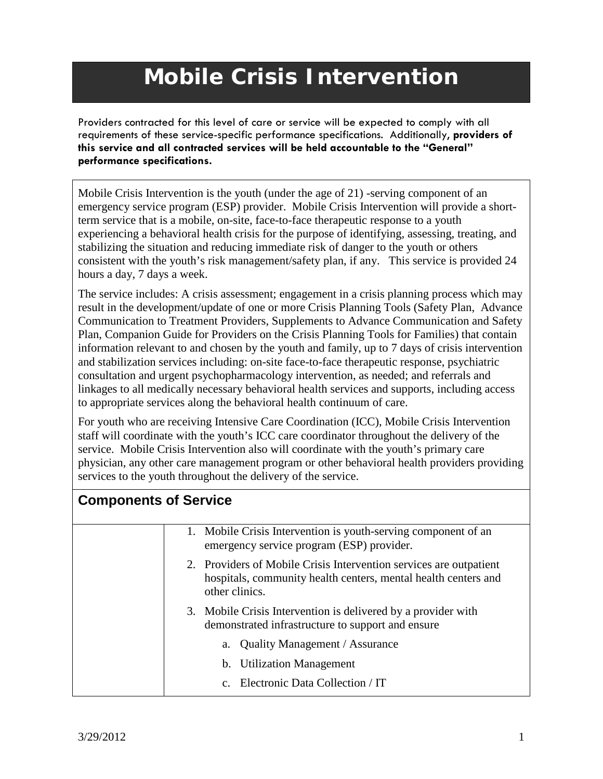## **Mobile Crisis Intervention**

Providers contracted for this level of care or service will be expected to comply with all requirements of these service-specific performance specifications. Additionally, **providers of this service and all contracted services will be held accountable to the "General" performance specifications.**

Mobile Crisis Intervention is the youth (under the age of 21) -serving component of an emergency service program (ESP) provider. Mobile Crisis Intervention will provide a shortterm service that is a mobile, on-site, face-to-face therapeutic response to a youth experiencing a behavioral health crisis for the purpose of identifying, assessing, treating, and stabilizing the situation and reducing immediate risk of danger to the youth or others consistent with the youth's risk management/safety plan, if any. This service is provided 24 hours a day, 7 days a week.

The service includes: A crisis assessment; engagement in a crisis planning process which may result in the development/update of one or more Crisis Planning Tools (Safety Plan, Advance Communication to Treatment Providers, Supplements to Advance Communication and Safety Plan, Companion Guide for Providers on the Crisis Planning Tools for Families) that contain information relevant to and chosen by the youth and family, up to 7 days of crisis intervention and stabilization services including: on-site face-to-face therapeutic response, psychiatric consultation and urgent psychopharmacology intervention, as needed; and referrals and linkages to all medically necessary behavioral health services and supports, including access to appropriate services along the behavioral health continuum of care.

For youth who are receiving Intensive Care Coordination (ICC), Mobile Crisis Intervention staff will coordinate with the youth's ICC care coordinator throughout the delivery of the service. Mobile Crisis Intervention also will coordinate with the youth's primary care physician, any other care management program or other behavioral health providers providing services to the youth throughout the delivery of the service.

| <b>Components of Service</b> |                                                                                                                                                        |
|------------------------------|--------------------------------------------------------------------------------------------------------------------------------------------------------|
|                              | 1. Mobile Crisis Intervention is youth-serving component of an<br>emergency service program (ESP) provider.                                            |
|                              | 2. Providers of Mobile Crisis Intervention services are outpatient<br>hospitals, community health centers, mental health centers and<br>other clinics. |
|                              | 3. Mobile Crisis Intervention is delivered by a provider with<br>demonstrated infrastructure to support and ensure                                     |
|                              | a. Quality Management / Assurance                                                                                                                      |
|                              | b. Utilization Management                                                                                                                              |
|                              | c. Electronic Data Collection / IT                                                                                                                     |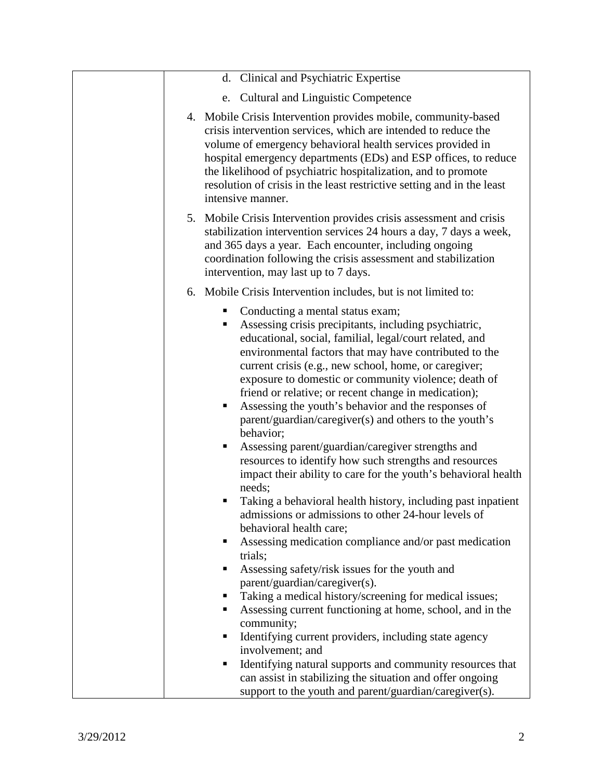| d. Clinical and Psychiatric Expertise                                                                                                                                                                                                                                                                                                                                                                                                                                                                                                                                                                                                                                                                                                                                                                                                                                                                                                                                                                                                                                                                                                             |
|---------------------------------------------------------------------------------------------------------------------------------------------------------------------------------------------------------------------------------------------------------------------------------------------------------------------------------------------------------------------------------------------------------------------------------------------------------------------------------------------------------------------------------------------------------------------------------------------------------------------------------------------------------------------------------------------------------------------------------------------------------------------------------------------------------------------------------------------------------------------------------------------------------------------------------------------------------------------------------------------------------------------------------------------------------------------------------------------------------------------------------------------------|
| <b>Cultural and Linguistic Competence</b><br>e.                                                                                                                                                                                                                                                                                                                                                                                                                                                                                                                                                                                                                                                                                                                                                                                                                                                                                                                                                                                                                                                                                                   |
| 4. Mobile Crisis Intervention provides mobile, community-based<br>crisis intervention services, which are intended to reduce the<br>volume of emergency behavioral health services provided in<br>hospital emergency departments (EDs) and ESP offices, to reduce<br>the likelihood of psychiatric hospitalization, and to promote<br>resolution of crisis in the least restrictive setting and in the least<br>intensive manner.                                                                                                                                                                                                                                                                                                                                                                                                                                                                                                                                                                                                                                                                                                                 |
| 5. Mobile Crisis Intervention provides crisis assessment and crisis<br>stabilization intervention services 24 hours a day, 7 days a week,<br>and 365 days a year. Each encounter, including ongoing<br>coordination following the crisis assessment and stabilization<br>intervention, may last up to 7 days.                                                                                                                                                                                                                                                                                                                                                                                                                                                                                                                                                                                                                                                                                                                                                                                                                                     |
| 6. Mobile Crisis Intervention includes, but is not limited to:                                                                                                                                                                                                                                                                                                                                                                                                                                                                                                                                                                                                                                                                                                                                                                                                                                                                                                                                                                                                                                                                                    |
| Conducting a mental status exam;<br>Assessing crisis precipitants, including psychiatric,<br>educational, social, familial, legal/court related, and<br>environmental factors that may have contributed to the<br>current crisis (e.g., new school, home, or caregiver;<br>exposure to domestic or community violence; death of<br>friend or relative; or recent change in medication);<br>Assessing the youth's behavior and the responses of<br>parent/guardian/caregiver(s) and others to the youth's<br>behavior;<br>Assessing parent/guardian/caregiver strengths and<br>resources to identify how such strengths and resources<br>impact their ability to care for the youth's behavioral health<br>needs;<br>Taking a behavioral health history, including past inpatient<br>admissions or admissions to other 24-hour levels of<br>behavioral health care;<br>Assessing medication compliance and/or past medication<br>trials;<br>Assessing safety/risk issues for the youth and<br>parent/guardian/caregiver(s).<br>Taking a medical history/screening for medical issues;<br>Assessing current functioning at home, school, and in the |
| community;<br>Identifying current providers, including state agency                                                                                                                                                                                                                                                                                                                                                                                                                                                                                                                                                                                                                                                                                                                                                                                                                                                                                                                                                                                                                                                                               |
| involvement; and<br>Identifying natural supports and community resources that                                                                                                                                                                                                                                                                                                                                                                                                                                                                                                                                                                                                                                                                                                                                                                                                                                                                                                                                                                                                                                                                     |
| can assist in stabilizing the situation and offer ongoing<br>support to the youth and parent/guardian/caregiver(s).                                                                                                                                                                                                                                                                                                                                                                                                                                                                                                                                                                                                                                                                                                                                                                                                                                                                                                                                                                                                                               |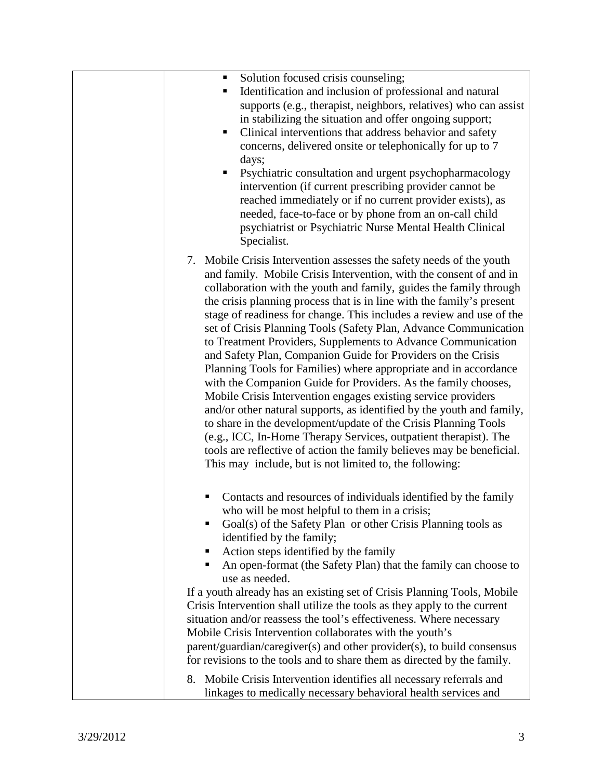| Solution focused crisis counseling;                                                                                                         |
|---------------------------------------------------------------------------------------------------------------------------------------------|
| Identification and inclusion of professional and natural<br>supports (e.g., therapist, neighbors, relatives) who can assist                 |
| in stabilizing the situation and offer ongoing support;                                                                                     |
| Clinical interventions that address behavior and safety                                                                                     |
| concerns, delivered onsite or telephonically for up to 7                                                                                    |
| days;                                                                                                                                       |
| Psychiatric consultation and urgent psychopharmacology                                                                                      |
| intervention (if current prescribing provider cannot be                                                                                     |
| reached immediately or if no current provider exists), as                                                                                   |
| needed, face-to-face or by phone from an on-call child                                                                                      |
| psychiatrist or Psychiatric Nurse Mental Health Clinical                                                                                    |
| Specialist.                                                                                                                                 |
|                                                                                                                                             |
| 7. Mobile Crisis Intervention assesses the safety needs of the youth                                                                        |
| and family. Mobile Crisis Intervention, with the consent of and in                                                                          |
| collaboration with the youth and family, guides the family through<br>the crisis planning process that is in line with the family's present |
| stage of readiness for change. This includes a review and use of the                                                                        |
| set of Crisis Planning Tools (Safety Plan, Advance Communication                                                                            |
| to Treatment Providers, Supplements to Advance Communication                                                                                |
| and Safety Plan, Companion Guide for Providers on the Crisis                                                                                |
| Planning Tools for Families) where appropriate and in accordance                                                                            |
| with the Companion Guide for Providers. As the family chooses,                                                                              |
| Mobile Crisis Intervention engages existing service providers                                                                               |
| and/or other natural supports, as identified by the youth and family,                                                                       |
| to share in the development/update of the Crisis Planning Tools                                                                             |
| (e.g., ICC, In-Home Therapy Services, outpatient therapist). The                                                                            |
| tools are reflective of action the family believes may be beneficial.                                                                       |
| This may include, but is not limited to, the following:                                                                                     |
|                                                                                                                                             |
| Contacts and resources of individuals identified by the family                                                                              |
| who will be most helpful to them in a crisis;                                                                                               |
| Goal(s) of the Safety Plan or other Crisis Planning tools as                                                                                |
| identified by the family;                                                                                                                   |
| Action steps identified by the family                                                                                                       |
| An open-format (the Safety Plan) that the family can choose to<br>п                                                                         |
| use as needed.                                                                                                                              |
| If a youth already has an existing set of Crisis Planning Tools, Mobile                                                                     |
| Crisis Intervention shall utilize the tools as they apply to the current                                                                    |
| situation and/or reassess the tool's effectiveness. Where necessary                                                                         |
| Mobile Crisis Intervention collaborates with the youth's                                                                                    |
| parent/guardian/caregiver(s) and other provider(s), to build consensus                                                                      |
| for revisions to the tools and to share them as directed by the family.                                                                     |
| 8. Mobile Crisis Intervention identifies all necessary referrals and                                                                        |
| linkages to medically necessary behavioral health services and                                                                              |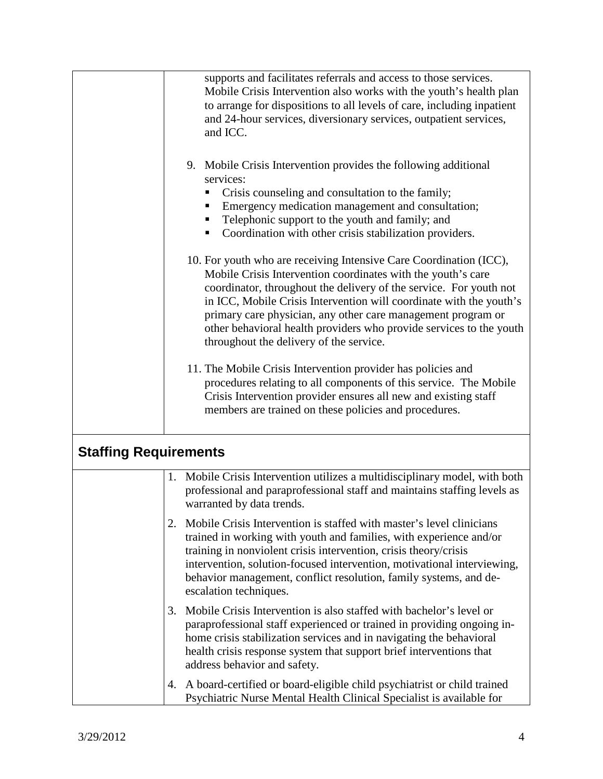|                              | supports and facilitates referrals and access to those services.<br>Mobile Crisis Intervention also works with the youth's health plan<br>to arrange for dispositions to all levels of care, including inpatient<br>and 24-hour services, diversionary services, outpatient services,<br>and ICC.<br>9. Mobile Crisis Intervention provides the following additional<br>services:<br>Crisis counseling and consultation to the family;<br>Emergency medication management and consultation;<br>п<br>Telephonic support to the youth and family; and<br>Coordination with other crisis stabilization providers.<br>ш<br>10. For youth who are receiving Intensive Care Coordination (ICC),<br>Mobile Crisis Intervention coordinates with the youth's care<br>coordinator, throughout the delivery of the service. For youth not<br>in ICC, Mobile Crisis Intervention will coordinate with the youth's<br>primary care physician, any other care management program or<br>other behavioral health providers who provide services to the youth<br>throughout the delivery of the service.<br>11. The Mobile Crisis Intervention provider has policies and<br>procedures relating to all components of this service. The Mobile<br>Crisis Intervention provider ensures all new and existing staff<br>members are trained on these policies and procedures. |
|------------------------------|-----------------------------------------------------------------------------------------------------------------------------------------------------------------------------------------------------------------------------------------------------------------------------------------------------------------------------------------------------------------------------------------------------------------------------------------------------------------------------------------------------------------------------------------------------------------------------------------------------------------------------------------------------------------------------------------------------------------------------------------------------------------------------------------------------------------------------------------------------------------------------------------------------------------------------------------------------------------------------------------------------------------------------------------------------------------------------------------------------------------------------------------------------------------------------------------------------------------------------------------------------------------------------------------------------------------------------------------------------------|
| <b>Staffing Requirements</b> |                                                                                                                                                                                                                                                                                                                                                                                                                                                                                                                                                                                                                                                                                                                                                                                                                                                                                                                                                                                                                                                                                                                                                                                                                                                                                                                                                           |
|                              | 1. Mobile Crisis Intervention utilizes a multidisciplinary model, with both<br>professional and paraprofessional staff and maintains staffing levels as<br>warranted by data trends.                                                                                                                                                                                                                                                                                                                                                                                                                                                                                                                                                                                                                                                                                                                                                                                                                                                                                                                                                                                                                                                                                                                                                                      |
|                              | Mobile Crisis Intervention is staffed with master's level clinicians<br>2.<br>trained in working with youth and families, with experience and/or<br>training in nonviolent crisis intervention, crisis theory/crisis<br>intervention, solution-focused intervention, motivational interviewing,<br>behavior management, conflict resolution, family systems, and de-<br>escalation techniques.                                                                                                                                                                                                                                                                                                                                                                                                                                                                                                                                                                                                                                                                                                                                                                                                                                                                                                                                                            |
|                              | Mobile Crisis Intervention is also staffed with bachelor's level or<br>3.<br>paraprofessional staff experienced or trained in providing ongoing in-<br>home crisis stabilization services and in navigating the behavioral<br>health crisis response system that support brief interventions that<br>address behavior and safety.                                                                                                                                                                                                                                                                                                                                                                                                                                                                                                                                                                                                                                                                                                                                                                                                                                                                                                                                                                                                                         |
|                              | A board-certified or board-eligible child psychiatrist or child trained<br>4.<br>Psychiatric Nurse Mental Health Clinical Specialist is available for                                                                                                                                                                                                                                                                                                                                                                                                                                                                                                                                                                                                                                                                                                                                                                                                                                                                                                                                                                                                                                                                                                                                                                                                     |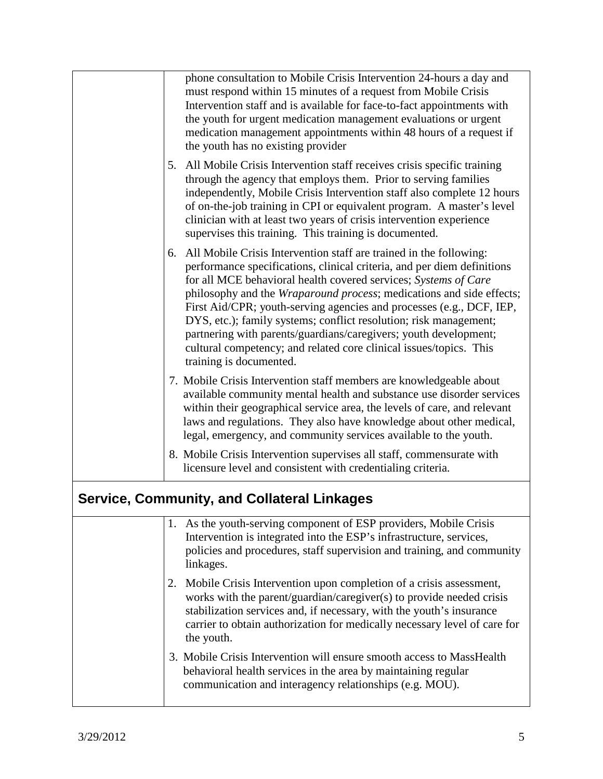| phone consultation to Mobile Crisis Intervention 24-hours a day and<br>must respond within 15 minutes of a request from Mobile Crisis<br>Intervention staff and is available for face-to-fact appointments with<br>the youth for urgent medication management evaluations or urgent<br>medication management appointments within 48 hours of a request if<br>the youth has no existing provider                                                                                                                                                                                                                  |  |
|------------------------------------------------------------------------------------------------------------------------------------------------------------------------------------------------------------------------------------------------------------------------------------------------------------------------------------------------------------------------------------------------------------------------------------------------------------------------------------------------------------------------------------------------------------------------------------------------------------------|--|
| 5. All Mobile Crisis Intervention staff receives crisis specific training<br>through the agency that employs them. Prior to serving families<br>independently, Mobile Crisis Intervention staff also complete 12 hours<br>of on-the-job training in CPI or equivalent program. A master's level<br>clinician with at least two years of crisis intervention experience<br>supervises this training. This training is documented.                                                                                                                                                                                 |  |
| All Mobile Crisis Intervention staff are trained in the following:<br>6.<br>performance specifications, clinical criteria, and per diem definitions<br>for all MCE behavioral health covered services; Systems of Care<br>philosophy and the Wraparound process; medications and side effects;<br>First Aid/CPR; youth-serving agencies and processes (e.g., DCF, IEP,<br>DYS, etc.); family systems; conflict resolution; risk management;<br>partnering with parents/guardians/caregivers; youth development;<br>cultural competency; and related core clinical issues/topics. This<br>training is documented. |  |
| 7. Mobile Crisis Intervention staff members are knowledgeable about<br>available community mental health and substance use disorder services<br>within their geographical service area, the levels of care, and relevant<br>laws and regulations. They also have knowledge about other medical,<br>legal, emergency, and community services available to the youth.                                                                                                                                                                                                                                              |  |
| 8. Mobile Crisis Intervention supervises all staff, commensurate with<br>licensure level and consistent with credentialing criteria.                                                                                                                                                                                                                                                                                                                                                                                                                                                                             |  |
| <b>Service, Community, and Collateral Linkages</b>                                                                                                                                                                                                                                                                                                                                                                                                                                                                                                                                                               |  |
| 1. As the youth-serving component of ESP providers, Mobile Crisis<br>Intervention is integrated into the ESP's infrastructure, services,<br>policies and procedures, staff supervision and training, and community<br>linkages.                                                                                                                                                                                                                                                                                                                                                                                  |  |
| Mobile Crisis Intervention upon completion of a crisis assessment,<br>2.<br>works with the parent/guardian/caregiver(s) to provide needed crisis<br>stabilization services and, if necessary, with the youth's insurance<br>carrier to obtain authorization for medically necessary level of care for<br>the youth.                                                                                                                                                                                                                                                                                              |  |
| 3. Mobile Crisis Intervention will ensure smooth access to MassHealth<br>behavioral health services in the area by maintaining regular<br>communication and interagency relationships (e.g. MOU).                                                                                                                                                                                                                                                                                                                                                                                                                |  |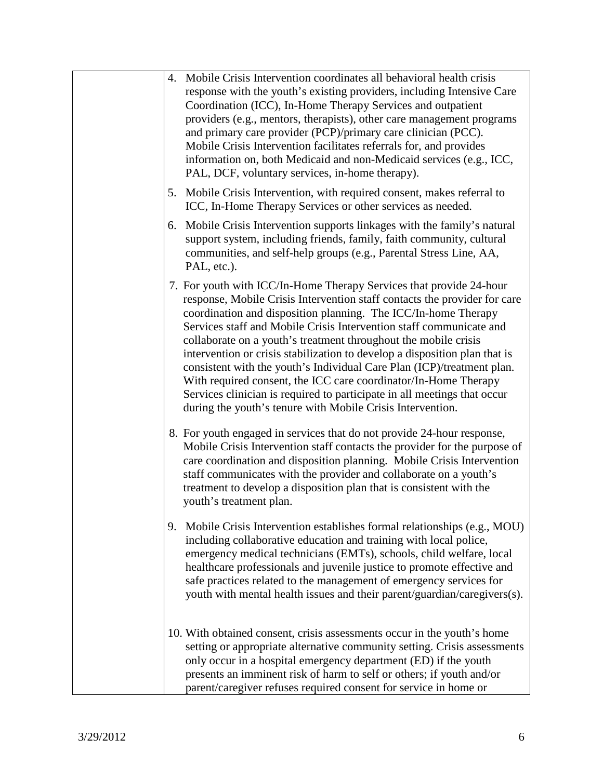| 4. Mobile Crisis Intervention coordinates all behavioral health crisis<br>response with the youth's existing providers, including Intensive Care<br>Coordination (ICC), In-Home Therapy Services and outpatient<br>providers (e.g., mentors, therapists), other care management programs<br>and primary care provider (PCP)/primary care clinician (PCC).<br>Mobile Crisis Intervention facilitates referrals for, and provides<br>information on, both Medicaid and non-Medicaid services (e.g., ICC,<br>PAL, DCF, voluntary services, in-home therapy).                                                                                                                                                                         |
|-----------------------------------------------------------------------------------------------------------------------------------------------------------------------------------------------------------------------------------------------------------------------------------------------------------------------------------------------------------------------------------------------------------------------------------------------------------------------------------------------------------------------------------------------------------------------------------------------------------------------------------------------------------------------------------------------------------------------------------|
| Mobile Crisis Intervention, with required consent, makes referral to<br>5.<br>ICC, In-Home Therapy Services or other services as needed.                                                                                                                                                                                                                                                                                                                                                                                                                                                                                                                                                                                          |
| 6. Mobile Crisis Intervention supports linkages with the family's natural<br>support system, including friends, family, faith community, cultural<br>communities, and self-help groups (e.g., Parental Stress Line, AA,<br>PAL, etc.).                                                                                                                                                                                                                                                                                                                                                                                                                                                                                            |
| 7. For youth with ICC/In-Home Therapy Services that provide 24-hour<br>response, Mobile Crisis Intervention staff contacts the provider for care<br>coordination and disposition planning. The ICC/In-home Therapy<br>Services staff and Mobile Crisis Intervention staff communicate and<br>collaborate on a youth's treatment throughout the mobile crisis<br>intervention or crisis stabilization to develop a disposition plan that is<br>consistent with the youth's Individual Care Plan (ICP)/treatment plan.<br>With required consent, the ICC care coordinator/In-Home Therapy<br>Services clinician is required to participate in all meetings that occur<br>during the youth's tenure with Mobile Crisis Intervention. |
| 8. For youth engaged in services that do not provide 24-hour response,<br>Mobile Crisis Intervention staff contacts the provider for the purpose of<br>care coordination and disposition planning. Mobile Crisis Intervention<br>staff communicates with the provider and collaborate on a youth's<br>treatment to develop a disposition plan that is consistent with the<br>youth's treatment plan.                                                                                                                                                                                                                                                                                                                              |
| 9. Mobile Crisis Intervention establishes formal relationships (e.g., MOU)<br>including collaborative education and training with local police,<br>emergency medical technicians (EMTs), schools, child welfare, local<br>healthcare professionals and juvenile justice to promote effective and<br>safe practices related to the management of emergency services for<br>youth with mental health issues and their parent/guardian/caregivers(s).                                                                                                                                                                                                                                                                                |
| 10. With obtained consent, crisis assessments occur in the youth's home<br>setting or appropriate alternative community setting. Crisis assessments<br>only occur in a hospital emergency department (ED) if the youth<br>presents an imminent risk of harm to self or others; if youth and/or<br>parent/caregiver refuses required consent for service in home or                                                                                                                                                                                                                                                                                                                                                                |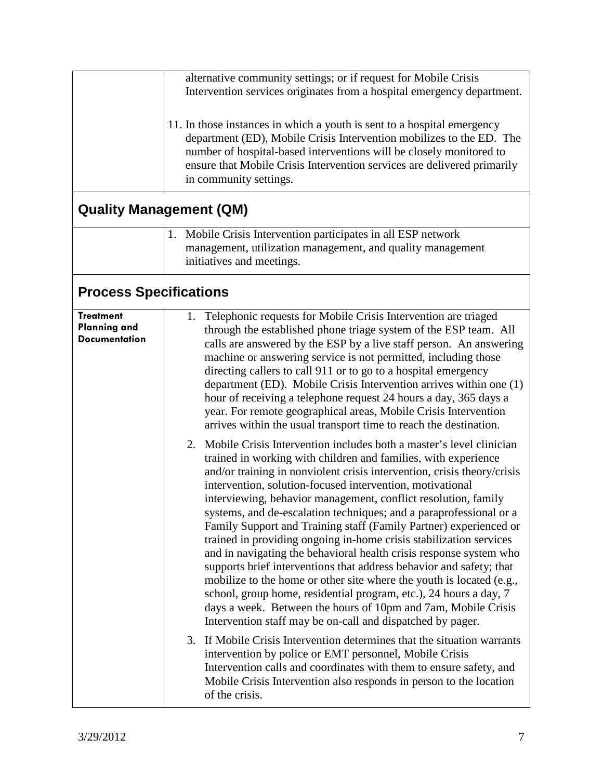|                                                                 | alternative community settings; or if request for Mobile Crisis<br>Intervention services originates from a hospital emergency department.<br>11. In those instances in which a youth is sent to a hospital emergency<br>department (ED), Mobile Crisis Intervention mobilizes to the ED. The<br>number of hospital-based interventions will be closely monitored to<br>ensure that Mobile Crisis Intervention services are delivered primarily<br>in community settings.                                                                                                                                                                                                                                                                                                                                                                                                                                                                                                                                                                                                                                                                                                                                                                                                                        |
|-----------------------------------------------------------------|-------------------------------------------------------------------------------------------------------------------------------------------------------------------------------------------------------------------------------------------------------------------------------------------------------------------------------------------------------------------------------------------------------------------------------------------------------------------------------------------------------------------------------------------------------------------------------------------------------------------------------------------------------------------------------------------------------------------------------------------------------------------------------------------------------------------------------------------------------------------------------------------------------------------------------------------------------------------------------------------------------------------------------------------------------------------------------------------------------------------------------------------------------------------------------------------------------------------------------------------------------------------------------------------------|
| <b>Quality Management (QM)</b>                                  | 1. Mobile Crisis Intervention participates in all ESP network                                                                                                                                                                                                                                                                                                                                                                                                                                                                                                                                                                                                                                                                                                                                                                                                                                                                                                                                                                                                                                                                                                                                                                                                                                   |
|                                                                 | management, utilization management, and quality management<br>initiatives and meetings.                                                                                                                                                                                                                                                                                                                                                                                                                                                                                                                                                                                                                                                                                                                                                                                                                                                                                                                                                                                                                                                                                                                                                                                                         |
| <b>Process Specifications</b>                                   |                                                                                                                                                                                                                                                                                                                                                                                                                                                                                                                                                                                                                                                                                                                                                                                                                                                                                                                                                                                                                                                                                                                                                                                                                                                                                                 |
| <b>Treatment</b><br><b>Planning and</b><br><b>Documentation</b> | 1. Telephonic requests for Mobile Crisis Intervention are triaged<br>through the established phone triage system of the ESP team. All<br>calls are answered by the ESP by a live staff person. An answering<br>machine or answering service is not permitted, including those<br>directing callers to call 911 or to go to a hospital emergency<br>department (ED). Mobile Crisis Intervention arrives within one (1)<br>hour of receiving a telephone request 24 hours a day, 365 days a<br>year. For remote geographical areas, Mobile Crisis Intervention<br>arrives within the usual transport time to reach the destination.                                                                                                                                                                                                                                                                                                                                                                                                                                                                                                                                                                                                                                                               |
|                                                                 | 2. Mobile Crisis Intervention includes both a master's level clinician<br>trained in working with children and families, with experience<br>and/or training in nonviolent crisis intervention, crisis theory/crisis<br>intervention, solution-focused intervention, motivational<br>interviewing, behavior management, conflict resolution, family<br>systems, and de-escalation techniques; and a paraprofessional or a<br>Family Support and Training staff (Family Partner) experienced or<br>trained in providing ongoing in-home crisis stabilization services<br>and in navigating the behavioral health crisis response system who<br>supports brief interventions that address behavior and safety; that<br>mobilize to the home or other site where the youth is located (e.g.,<br>school, group home, residential program, etc.), 24 hours a day, 7<br>days a week. Between the hours of 10pm and 7am, Mobile Crisis<br>Intervention staff may be on-call and dispatched by pager.<br>3. If Mobile Crisis Intervention determines that the situation warrants<br>intervention by police or EMT personnel, Mobile Crisis<br>Intervention calls and coordinates with them to ensure safety, and<br>Mobile Crisis Intervention also responds in person to the location<br>of the crisis. |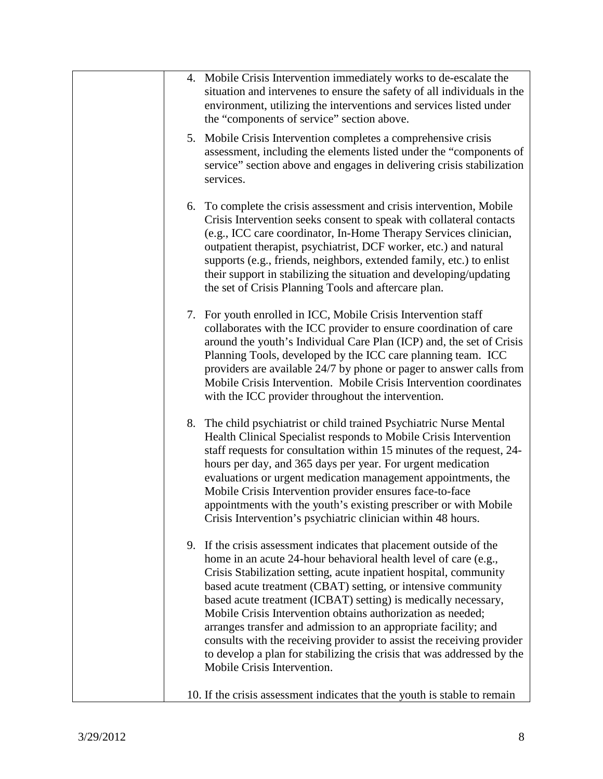| 4. Mobile Crisis Intervention immediately works to de-escalate the<br>situation and intervenes to ensure the safety of all individuals in the<br>environment, utilizing the interventions and services listed under<br>the "components of service" section above.                                                                                                                                                                                                                                                                                                                                                                                                 |
|-------------------------------------------------------------------------------------------------------------------------------------------------------------------------------------------------------------------------------------------------------------------------------------------------------------------------------------------------------------------------------------------------------------------------------------------------------------------------------------------------------------------------------------------------------------------------------------------------------------------------------------------------------------------|
| 5. Mobile Crisis Intervention completes a comprehensive crisis<br>assessment, including the elements listed under the "components of<br>service" section above and engages in delivering crisis stabilization<br>services.                                                                                                                                                                                                                                                                                                                                                                                                                                        |
| 6. To complete the crisis assessment and crisis intervention, Mobile<br>Crisis Intervention seeks consent to speak with collateral contacts<br>(e.g., ICC care coordinator, In-Home Therapy Services clinician,<br>outpatient therapist, psychiatrist, DCF worker, etc.) and natural<br>supports (e.g., friends, neighbors, extended family, etc.) to enlist<br>their support in stabilizing the situation and developing/updating<br>the set of Crisis Planning Tools and aftercare plan.                                                                                                                                                                        |
| 7. For youth enrolled in ICC, Mobile Crisis Intervention staff<br>collaborates with the ICC provider to ensure coordination of care<br>around the youth's Individual Care Plan (ICP) and, the set of Crisis<br>Planning Tools, developed by the ICC care planning team. ICC<br>providers are available 24/7 by phone or pager to answer calls from<br>Mobile Crisis Intervention. Mobile Crisis Intervention coordinates<br>with the ICC provider throughout the intervention.                                                                                                                                                                                    |
| 8. The child psychiatrist or child trained Psychiatric Nurse Mental<br>Health Clinical Specialist responds to Mobile Crisis Intervention<br>staff requests for consultation within 15 minutes of the request, 24-<br>hours per day, and 365 days per year. For urgent medication<br>evaluations or urgent medication management appointments, the<br>Mobile Crisis Intervention provider ensures face-to-face<br>appointments with the youth's existing prescriber or with Mobile<br>Crisis Intervention's psychiatric clinician within 48 hours.                                                                                                                 |
| 9. If the crisis assessment indicates that placement outside of the<br>home in an acute 24-hour behavioral health level of care (e.g.,<br>Crisis Stabilization setting, acute inpatient hospital, community<br>based acute treatment (CBAT) setting, or intensive community<br>based acute treatment (ICBAT) setting) is medically necessary,<br>Mobile Crisis Intervention obtains authorization as needed;<br>arranges transfer and admission to an appropriate facility; and<br>consults with the receiving provider to assist the receiving provider<br>to develop a plan for stabilizing the crisis that was addressed by the<br>Mobile Crisis Intervention. |
| 10. If the crisis assessment indicates that the youth is stable to remain                                                                                                                                                                                                                                                                                                                                                                                                                                                                                                                                                                                         |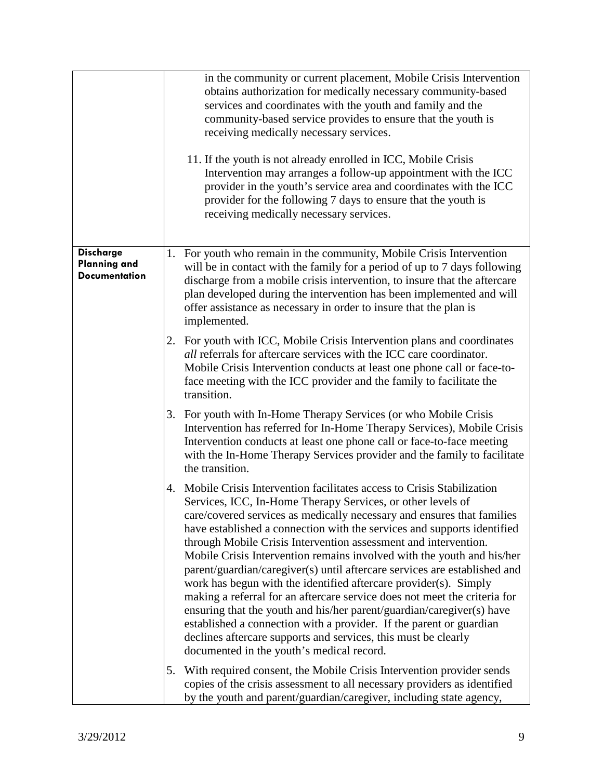|                                                                 | in the community or current placement, Mobile Crisis Intervention<br>obtains authorization for medically necessary community-based<br>services and coordinates with the youth and family and the<br>community-based service provides to ensure that the youth is<br>receiving medically necessary services.<br>11. If the youth is not already enrolled in ICC, Mobile Crisis<br>Intervention may arranges a follow-up appointment with the ICC<br>provider in the youth's service area and coordinates with the ICC                                                                                                                                                                                                                                                                                                                                                                                                                      |
|-----------------------------------------------------------------|-------------------------------------------------------------------------------------------------------------------------------------------------------------------------------------------------------------------------------------------------------------------------------------------------------------------------------------------------------------------------------------------------------------------------------------------------------------------------------------------------------------------------------------------------------------------------------------------------------------------------------------------------------------------------------------------------------------------------------------------------------------------------------------------------------------------------------------------------------------------------------------------------------------------------------------------|
|                                                                 | provider for the following 7 days to ensure that the youth is<br>receiving medically necessary services.                                                                                                                                                                                                                                                                                                                                                                                                                                                                                                                                                                                                                                                                                                                                                                                                                                  |
| <b>Discharge</b><br><b>Planning and</b><br><b>Documentation</b> | For youth who remain in the community, Mobile Crisis Intervention<br>1.<br>will be in contact with the family for a period of up to 7 days following<br>discharge from a mobile crisis intervention, to insure that the aftercare<br>plan developed during the intervention has been implemented and will<br>offer assistance as necessary in order to insure that the plan is<br>implemented.                                                                                                                                                                                                                                                                                                                                                                                                                                                                                                                                            |
|                                                                 | 2. For youth with ICC, Mobile Crisis Intervention plans and coordinates<br><i>all</i> referrals for aftercare services with the ICC care coordinator.<br>Mobile Crisis Intervention conducts at least one phone call or face-to-<br>face meeting with the ICC provider and the family to facilitate the<br>transition.                                                                                                                                                                                                                                                                                                                                                                                                                                                                                                                                                                                                                    |
|                                                                 | For youth with In-Home Therapy Services (or who Mobile Crisis<br>3.<br>Intervention has referred for In-Home Therapy Services), Mobile Crisis<br>Intervention conducts at least one phone call or face-to-face meeting<br>with the In-Home Therapy Services provider and the family to facilitate<br>the transition.                                                                                                                                                                                                                                                                                                                                                                                                                                                                                                                                                                                                                      |
|                                                                 | Mobile Crisis Intervention facilitates access to Crisis Stabilization<br>4.<br>Services, ICC, In-Home Therapy Services, or other levels of<br>care/covered services as medically necessary and ensures that families<br>have established a connection with the services and supports identified<br>through Mobile Crisis Intervention assessment and intervention.<br>Mobile Crisis Intervention remains involved with the youth and his/her<br>parent/guardian/caregiver(s) until aftercare services are established and<br>work has begun with the identified aftercare provider(s). Simply<br>making a referral for an aftercare service does not meet the criteria for<br>ensuring that the youth and his/her parent/guardian/caregiver(s) have<br>established a connection with a provider. If the parent or guardian<br>declines aftercare supports and services, this must be clearly<br>documented in the youth's medical record. |
|                                                                 | With required consent, the Mobile Crisis Intervention provider sends<br>5.<br>copies of the crisis assessment to all necessary providers as identified<br>by the youth and parent/guardian/caregiver, including state agency,                                                                                                                                                                                                                                                                                                                                                                                                                                                                                                                                                                                                                                                                                                             |